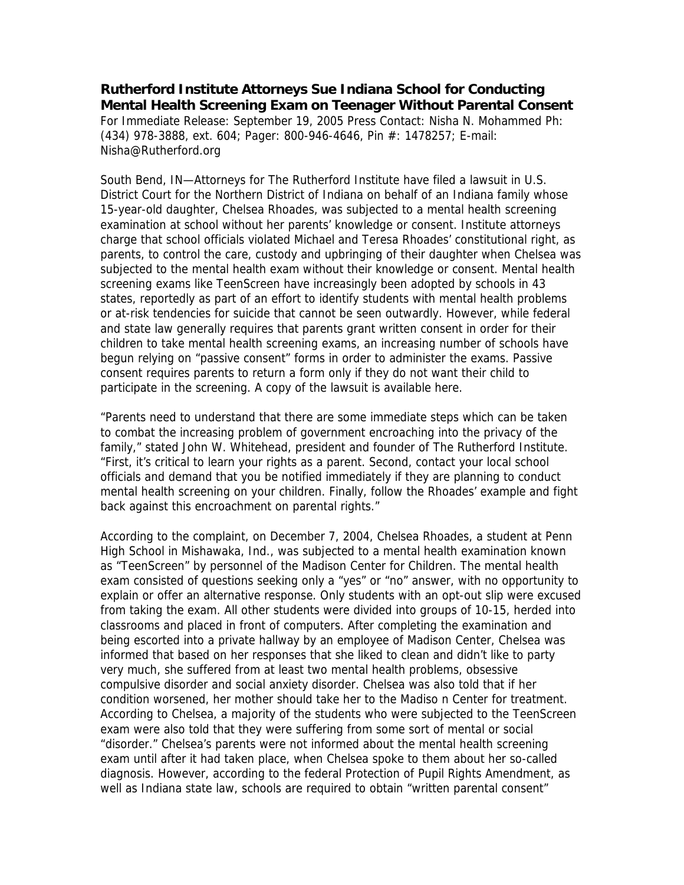**Rutherford Institute Attorneys Sue Indiana School for Conducting Mental Health Screening Exam on Teenager Without Parental Consent**  For Immediate Release: September 19, 2005 Press Contact: Nisha N. Mohammed Ph: (434) 978-3888, ext. 604; Pager: 800-946-4646, Pin #: 1478257; E-mail: Nisha@Rutherford.org

South Bend, IN—Attorneys for The Rutherford Institute have filed a lawsuit in U.S. District Court for the Northern District of Indiana on behalf of an Indiana family whose 15-year-old daughter, Chelsea Rhoades, was subjected to a mental health screening examination at school without her parents' knowledge or consent. Institute attorneys charge that school officials violated Michael and Teresa Rhoades' constitutional right, as parents, to control the care, custody and upbringing of their daughter when Chelsea was subjected to the mental health exam without their knowledge or consent. Mental health screening exams like TeenScreen have increasingly been adopted by schools in 43 states, reportedly as part of an effort to identify students with mental health problems or at-risk tendencies for suicide that cannot be seen outwardly. However, while federal and state law generally requires that parents grant written consent in order for their children to take mental health screening exams, an increasing number of schools have begun relying on "passive consent" forms in order to administer the exams. Passive consent requires parents to return a form only if they do not want their child to participate in the screening. A copy of the lawsuit is available here.

"Parents need to understand that there are some immediate steps which can be taken to combat the increasing problem of government encroaching into the privacy of the family," stated John W. Whitehead, president and founder of The Rutherford Institute. "First, it's critical to learn your rights as a parent. Second, contact your local school officials and demand that you be notified immediately if they are planning to conduct mental health screening on your children. Finally, follow the Rhoades' example and fight back against this encroachment on parental rights."

According to the complaint, on December 7, 2004, Chelsea Rhoades, a student at Penn High School in Mishawaka, Ind., was subjected to a mental health examination known as "TeenScreen" by personnel of the Madison Center for Children. The mental health exam consisted of questions seeking only a "yes" or "no" answer, with no opportunity to explain or offer an alternative response. Only students with an opt-out slip were excused from taking the exam. All other students were divided into groups of 10-15, herded into classrooms and placed in front of computers. After completing the examination and being escorted into a private hallway by an employee of Madison Center, Chelsea was informed that based on her responses that she liked to clean and didn't like to party very much, she suffered from at least two mental health problems, obsessive compulsive disorder and social anxiety disorder. Chelsea was also told that if her condition worsened, her mother should take her to the Madiso n Center for treatment. According to Chelsea, a majority of the students who were subjected to the TeenScreen exam were also told that they were suffering from some sort of mental or social "disorder." Chelsea's parents were not informed about the mental health screening exam until after it had taken place, when Chelsea spoke to them about her so-called diagnosis. However, according to the federal Protection of Pupil Rights Amendment, as well as Indiana state law, schools are required to obtain "written parental consent"